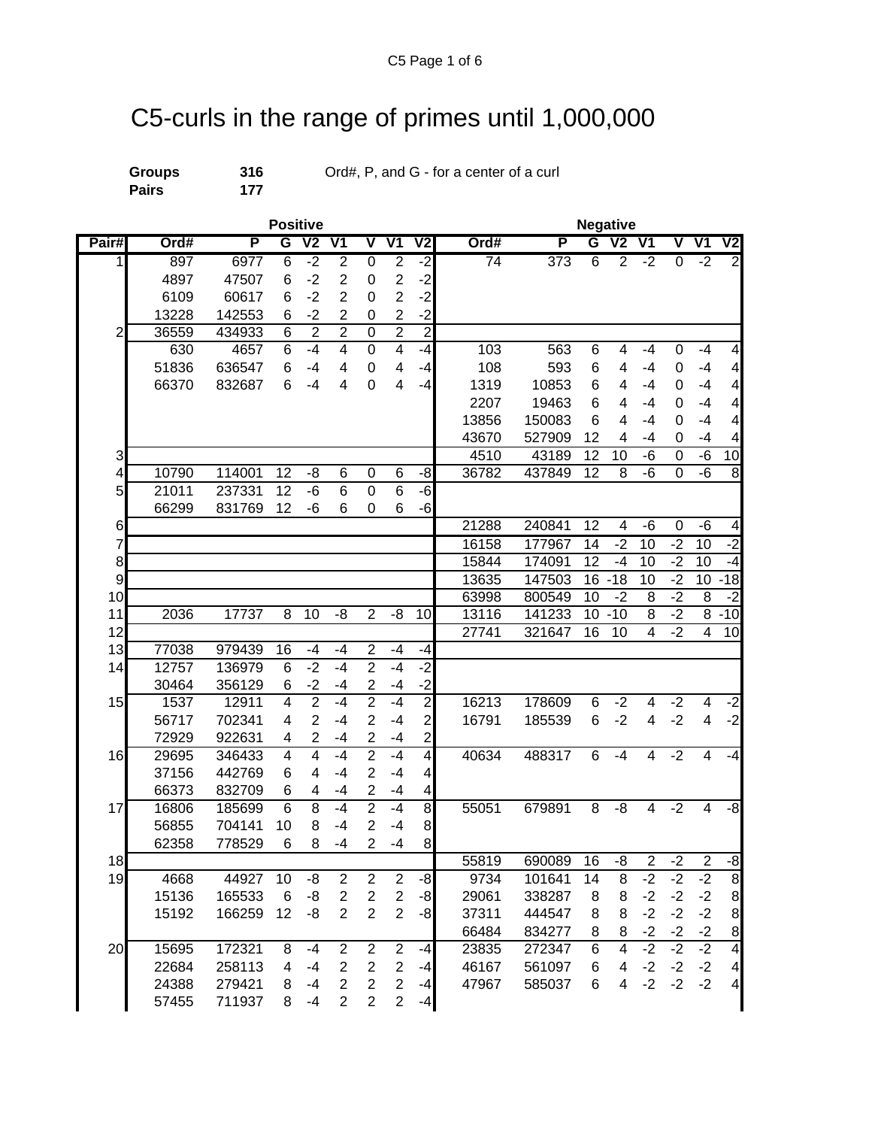## C5-curls in the range of primes until 1,000,000

**Pairs 177**

**Groups 316** Ord#, P, and G - for a center of a curl

|                |       |        | <b>Positive</b> |                |                         |                         | <b>Negative</b>  |                         |                 |        |                |                          |                           |                |                           |                          |
|----------------|-------|--------|-----------------|----------------|-------------------------|-------------------------|------------------|-------------------------|-----------------|--------|----------------|--------------------------|---------------------------|----------------|---------------------------|--------------------------|
| Pair#          | Ord#  | P      | G               | V <sub>2</sub> | V <sub>1</sub>          | $\overline{\mathsf{v}}$ | V <sub>1</sub>   | V <sub>2</sub>          | Ord#            | P      | G              | $\overline{\mathsf{V2}}$ | $\overline{\mathsf{V}}$ 1 | V              | $\overline{\mathsf{V}}$ 1 | $\overline{\mathsf{V2}}$ |
| $\mathbf{1}$   | 897   | 6977   | 6               | $-2$           | $\overline{2}$          | $\overline{0}$          | $\overline{2}$   | $-2$                    | $\overline{74}$ | 373    | $\overline{6}$ | $\overline{2}$           | $-2$                      | $\overline{0}$ | $-2$                      | $\overline{2}$           |
|                | 4897  | 47507  | 6               | $-2$           | $\overline{2}$          | 0                       | $\boldsymbol{2}$ | $-2$                    |                 |        |                |                          |                           |                |                           |                          |
|                | 6109  | 60617  | 6               | $-2$           | $\overline{2}$          | 0                       | $\overline{2}$   | $-2$                    |                 |        |                |                          |                           |                |                           |                          |
|                | 13228 | 142553 | 6               | $-2$           | $\overline{2}$          | 0                       | $\overline{2}$   | $-2$                    |                 |        |                |                          |                           |                |                           |                          |
| $\overline{2}$ | 36559 | 434933 | $\overline{6}$  | $\overline{2}$ | $\overline{2}$          | $\overline{0}$          | $\overline{2}$   | $\overline{2}$          |                 |        |                |                          |                           |                |                           |                          |
|                | 630   | 4657   | 6               | $-4$           | 4                       | 0                       | $\overline{4}$   | $-4$                    | 103             | 563    | 6              | 4                        | -4                        | 0              | $-4$                      | 4                        |
|                | 51836 | 636547 | 6               | $-4$           | 4                       | $\pmb{0}$               | 4                | $-4$                    | 108             | 593    | 6              | 4                        | -4                        | 0              | -4                        | $\overline{\mathcal{A}}$ |
|                | 66370 | 832687 | 6               | $-4$           | 4                       | 0                       | 4                | $-4$                    | 1319            | 10853  | 6              | 4                        | $-4$                      | 0              | $-4$                      | 4                        |
|                |       |        |                 |                |                         |                         |                  |                         | 2207            | 19463  | 6              | 4                        | -4                        | 0              | $-4$                      | 4                        |
|                |       |        |                 |                |                         |                         |                  |                         | 13856           | 150083 | 6              | 4                        | -4                        | 0              | $-4$                      | 4                        |
|                |       |        |                 |                |                         |                         |                  |                         | 43670           | 527909 | 12             | 4                        | -4                        | 0              | $-4$                      | $\overline{\mathbf{4}}$  |
| 3              |       |        |                 |                |                         |                         |                  |                         | 4510            | 43189  | 12             | 10                       | -6                        | 0              | -6                        | 10                       |
| 4              | 10790 | 114001 | 12              | -8             | 6                       | 0                       | 6                | -8                      | 36782           | 437849 | 12             | 8                        | -6                        | 0              | $-\overline{6}$           | 8                        |
| 5              | 21011 | 237331 | 12              | -6             | 6                       | 0                       | 6                | $-6$                    |                 |        |                |                          |                           |                |                           |                          |
|                | 66299 | 831769 | 12              | -6             | 6                       | 0                       | 6                | -6                      |                 |        |                |                          |                           |                |                           |                          |
| 6              |       |        |                 |                |                         |                         |                  |                         | 21288           | 240841 | 12             | 4                        | -6                        | 0              | -6                        | 4                        |
| 7              |       |        |                 |                |                         |                         |                  |                         | 16158           | 177967 | 14             | $-2$                     | $\overline{10}$           | $-2$           | $\overline{10}$           | -2                       |
| 8              |       |        |                 |                |                         |                         |                  |                         | 15844           | 174091 | 12             | $-4$                     | 10                        | $-2$           | 10                        | -4                       |
| 9              |       |        |                 |                |                         |                         |                  |                         | 13635           | 147503 | 16             | $-18$                    | 10                        | $-2$           | 10                        | $-18$                    |
| 10             |       |        |                 |                |                         |                         |                  |                         | 63998           | 800549 | 10             | $-2$                     | 8                         | $-2$           | 8                         | $-2$                     |
| 11             | 2036  | 17737  | 8               | 10             | -8                      | $\overline{2}$          | -8               | 10                      | 13116           | 141233 | 10             | $-10$                    | 8                         | $-2$           | 8                         | $-10$                    |
| 12             |       |        |                 |                |                         |                         |                  |                         | 27741           | 321647 | 16             | 10                       | 4                         | $-2$           | 4                         | 10                       |
| 13             | 77038 | 979439 | 16              | $-4$           | $-4$                    | $\overline{c}$          | -4               | -4                      |                 |        |                |                          |                           |                |                           |                          |
| 14             | 12757 | 136979 | $6\phantom{1}6$ | $-2$           | $-4$                    | $\overline{2}$          | $-4$             | $-2$                    |                 |        |                |                          |                           |                |                           |                          |
|                | 30464 | 356129 | 6               | $-2$           | -4                      | $\overline{c}$          | -4               | $-2$                    |                 |        |                |                          |                           |                |                           |                          |
| 15             | 1537  | 12911  | $\overline{4}$  | $\overline{2}$ | $-4$                    | $\overline{2}$          | $-4$             | $\overline{2}$          | 16213           | 178609 | 6              | $-2$                     | 4                         | $-2$           | 4                         | $-2$                     |
|                | 56717 | 702341 | 4               | $\overline{2}$ | $-4$                    | $\overline{2}$          | -4               | $\overline{\mathbf{c}}$ | 16791           | 185539 | 6              | $-2$                     | 4                         | $-2$           | 4                         | $-2$                     |
|                | 72929 | 922631 | 4               | $\overline{2}$ | $-4$                    | $\overline{c}$          | -4               | $\overline{c}$          |                 |        |                |                          |                           |                |                           |                          |
| 16             | 29695 | 346433 | 4               | 4              | $-4$                    | $\overline{2}$          | $-4$             | $\overline{4}$          | 40634           | 488317 | 6              | $-4$                     | 4                         | $-2$           | 4                         | $-4$                     |
|                | 37156 | 442769 | 6               | 4              | -4                      | $\overline{2}$          | $-4$             | 4                       |                 |        |                |                          |                           |                |                           |                          |
|                | 66373 | 832709 | 6               | 4              | $-4$                    | $\overline{2}$          | $-4$             | 4                       |                 |        |                |                          |                           |                |                           |                          |
| 17             | 16806 | 185699 | $6\phantom{1}6$ | 8              | -4                      | $\overline{2}$          | $-4$             | $\bf{8}$                | 55051           | 679891 | 8              | -8                       | 4                         | $-2$           | 4                         | $-8$                     |
|                | 56855 | 704141 | 10              | 8              | $-4$                    | $\overline{2}$          | $-4$             | $\bf{8}$                |                 |        |                |                          |                           |                |                           |                          |
|                | 62358 | 778529 | 6               | 8              | -4                      | $\overline{c}$          | $-4$             | 8 <sup>1</sup>          |                 |        |                |                          |                           |                |                           |                          |
| 18             |       |        |                 |                |                         |                         |                  |                         | 55819           | 690089 | 16             | -8                       | $\overline{2}$            | $-2$           | $\overline{2}$            | -8                       |
| 19             | 4668  | 44927  | 10              | -8             | $\mathbf{2}$            | $\overline{c}$          | $\overline{2}$   | -8                      | 9734            | 101641 | 14             | $\overline{8}$           | $-2$                      | $-2$           | $-2$                      | $\overline{8}$           |
|                | 15136 | 165533 | 6               | -8             | $\overline{\mathbf{c}}$ | $\overline{c}$          | $\sqrt{2}$       | $-8$                    | 29061           | 338287 | 8              | 8                        | $-2$                      | $-2$           | $-2$                      | 8                        |
|                | 15192 | 166259 | 12              | -8             | $\overline{2}$          | $\overline{2}$          | $\overline{2}$   | $-8$                    | 37311           | 444547 | 8              | 8                        | $-2$                      | $-2$           | $-2$                      | 8                        |
|                |       |        |                 |                |                         |                         |                  |                         | 66484           | 834277 | 8              | 8                        | $-2$                      | $-2$           | $-2$                      | $\bf 8$                  |
| 20             | 15695 | 172321 | 8               | $-4$           | $\mathbf{2}$            | $\overline{2}$          | $\overline{2}$   | $-4$                    | 23835           | 272347 | 6              | $\overline{4}$           | $-2$                      | $-2$           | $-2$                      | $\overline{\mathbf{4}}$  |
|                | 22684 | 258113 | 4               | $-4$           | $\overline{\mathbf{c}}$ | $\overline{c}$          | $\boldsymbol{2}$ | $-4$                    | 46167           | 561097 | 6              | 4                        | $-2$                      | $-2$           | $-2$                      | 4                        |
|                | 24388 | 279421 | 8               | $-4$           | $\overline{c}$          | $\overline{c}$          | $\boldsymbol{2}$ | $-4$                    | 47967           | 585037 | 6              | 4                        | $-2$                      | $-2$           | $-2$                      | $\overline{\mathcal{A}}$ |
|                | 57455 | 711937 | 8               | $-4$           | $\overline{2}$          | $\overline{2}$          | $\overline{2}$   | $-4$                    |                 |        |                |                          |                           |                |                           |                          |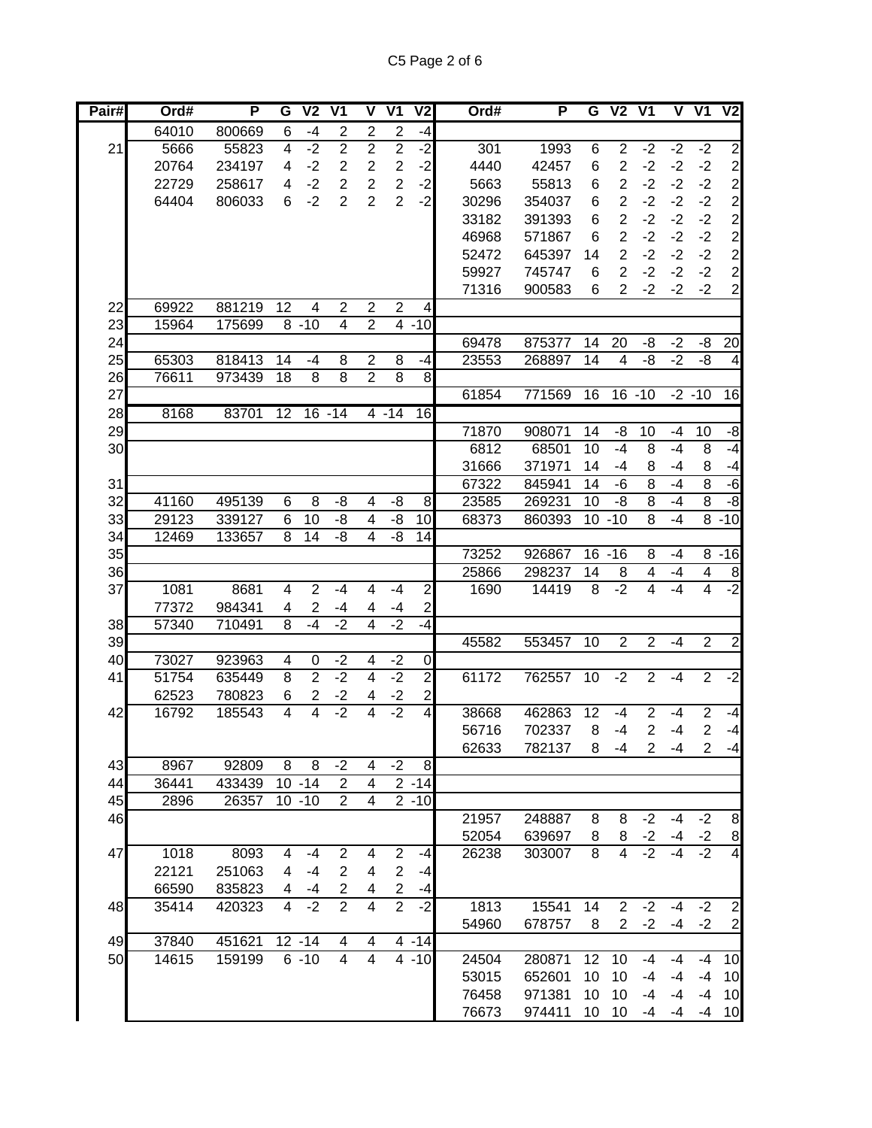| Pair#    | Ord#           | P                | G              | $\overline{V}$                   | V <sub>1</sub>   | $\overline{\mathsf{V}}$ | $\overline{\mathsf{V1}}$ | V2                             | Ord#  | P                |                 | G V2 V1                 |                |          | $V$ $V1$       | $\overline{\mathsf{V2}}$ |
|----------|----------------|------------------|----------------|----------------------------------|------------------|-------------------------|--------------------------|--------------------------------|-------|------------------|-----------------|-------------------------|----------------|----------|----------------|--------------------------|
|          | 64010          | 800669           | 6              | $-4$                             | $\overline{c}$   | $\overline{2}$          | $\overline{2}$           | $-4$                           |       |                  |                 |                         |                |          |                |                          |
| 21       | 5666           | 55823            | 4              | $-2$                             | $\overline{2}$   | $\overline{2}$          | $\overline{2}$           | -2                             | 301   | 1993             | 6               | $\overline{2}$          | $-2$           | $-2$     | $-2$           | $\overline{2}$           |
|          | 20764          | 234197           | 4              | $-2$                             | $\overline{2}$   | $\overline{2}$          | $\overline{c}$           | $-2$                           | 4440  | 42457            | 6               | $\overline{2}$          | $-2$           | $-2$     | $-2$           | $\overline{\mathbf{c}}$  |
|          | 22729          | 258617           | 4              | $-2$                             | $\overline{2}$   | $\overline{2}$          | $\overline{2}$           | $-2$                           | 5663  | 55813            | 6               | $\overline{2}$          | $-2$           | $-2$     | $-2$           | $\overline{c}$           |
|          | 64404          | 806033           | 6              | $-2$                             | $\overline{2}$   | $\overline{2}$          | $\overline{2}$           | $-2$                           | 30296 | 354037           | 6               | $\boldsymbol{2}$        | $-2$           | $-2$     | $-2$           |                          |
|          |                |                  |                |                                  |                  |                         |                          |                                | 33182 | 391393           | 6               | $\overline{2}$          | $-2$           | $-2$     | $-2$           |                          |
|          |                |                  |                |                                  |                  |                         |                          |                                | 46968 | 571867           | 6               | $\overline{2}$          | $-2$           | $-2$     | $-2$           |                          |
|          |                |                  |                |                                  |                  |                         |                          |                                | 52472 | 645397           | 14              | $\overline{2}$          | $-2$           | $-2$     | $-2$           |                          |
|          |                |                  |                |                                  |                  |                         |                          |                                | 59927 | 745747           | 6               | $\overline{2}$          | $-2$           | $-2$     | $-2$           | $2222$<br>$222$          |
|          |                |                  |                |                                  |                  |                         |                          |                                | 71316 | 900583           | 6               | $\overline{2}$          | $-2$           | $-2$     | $-2$           | $\overline{c}$           |
| 22       | 69922          | 881219           | 12             | 4                                | 2                | $\overline{2}$          | $\overline{2}$           | 4                              |       |                  |                 |                         |                |          |                |                          |
| 23       | 15964          | 175699           |                | $8 - 10$                         | 4                | $\overline{2}$          |                          | $4 - 10$                       |       |                  |                 |                         |                |          |                |                          |
| 24       |                |                  |                |                                  |                  |                         |                          |                                | 69478 | 875377           | 14              | 20                      | -8             | $-2$     | -8             | 20                       |
| 25       | 65303          | 818413           | 14             | $-4$                             | 8                | $\overline{2}$          | 8                        | $-4$                           | 23553 | 268897           | 14              | $\overline{\mathbf{4}}$ | -8             | $-2$     | -8             | $\overline{\mathbf{4}}$  |
| 26       | 76611          | 973439           | 18             | 8                                | 8                | $\overline{2}$          | $\overline{8}$           | 8                              |       |                  |                 |                         |                |          |                |                          |
| 27       |                |                  |                |                                  |                  |                         |                          |                                | 61854 | 771569           | $\overline{16}$ | $16 - 10$               |                |          | $-2 - 10$      | $\overline{16}$          |
| 28       | 8168           | 83701            | 12             |                                  | $16 - 14$        |                         | $4 - 14$                 | $\overline{16}$                |       |                  |                 |                         |                |          |                |                          |
| 29       |                |                  |                |                                  |                  |                         |                          |                                | 71870 | 908071           | 14              | -8                      | 10             | -4       | 10             | $-8$                     |
| 30       |                |                  |                |                                  |                  |                         |                          |                                | 6812  | 68501            | 10              | $-4$                    | 8              | $-4$     | 8              | $-4$                     |
|          |                |                  |                |                                  |                  |                         |                          |                                | 31666 | 371971           | 14              | -4                      | 8              | -4       | 8              | $-4$                     |
| 31       |                |                  |                |                                  |                  |                         |                          |                                | 67322 | 845941           | 14              | -6                      | $\overline{8}$ | $-4$     | $\overline{8}$ | $-6$                     |
| 32       | 41160          | 495139           | 6              | 8                                | -8               | 4                       | -8                       | 8                              | 23585 | 269231           | 10              | -8                      | $\overline{8}$ | -4       | $\overline{8}$ | $-8$                     |
| 33       | 29123          | 339127           | 6              | 10                               | -8               | $\overline{\mathbf{4}}$ | -8                       | 10                             | 68373 | 860393           |                 | $10 - 10$               | $\overline{8}$ | $-4$     |                | $8 - 10$                 |
| 34       | 12469          | 133657           | 8              | 14                               | -8               | 4                       | -8                       | 14                             |       |                  |                 |                         |                |          |                |                          |
| 35       |                |                  |                |                                  |                  |                         |                          |                                | 73252 | 926867           |                 | $16 - 16$               | 8              | -4       | 8              | $-16$                    |
| 36       |                |                  |                |                                  |                  |                         |                          |                                | 25866 | 298237           | 14              | 8                       | 4              | -4       | 4              | 8                        |
| 37       | 1081           | 8681             | 4              | $\overline{2}$                   | $-4$             | $\overline{4}$          | $-4$                     | $\overline{2}$                 | 1690  | 14419            | 8               | $-2$                    | 4              | $-4$     | 4              | $-2$                     |
|          | 77372          | 984341           | 4              | $\overline{2}$                   | -4               | 4                       | -4                       | $\overline{c}$                 |       |                  |                 |                         |                |          |                |                          |
| 38       | 57340          | 710491           | $\overline{8}$ | $-4$                             | $-2$             | $\overline{4}$          | $-2$                     | -4                             |       |                  |                 |                         |                |          |                |                          |
| 39       |                |                  |                |                                  |                  |                         |                          |                                | 45582 | 553457           | 10              | $\overline{2}$          | $\overline{2}$ | $-4$     | $\overline{2}$ | $\overline{2}$           |
| 40       | 73027          | 923963           | 4              | 0                                | $-2$             | 4                       | $-2$                     | $\overline{0}$                 |       |                  |                 |                         |                |          |                |                          |
| 41       | 51754          | 635449           | 8              | $\overline{2}$                   | $-2$             | $\overline{4}$          | $-2$                     | $\overline{2}$                 | 61172 | 762557           | 10              | $-2$                    | $\overline{2}$ | $-4$     | $\overline{2}$ | $-2$                     |
|          | 62523          | 780823           | 6              | 2                                | $-2$             | 4                       | $-2$                     | $\mathbf{z}$                   |       |                  |                 |                         |                |          |                |                          |
| 42       | 16792          | 185543           | 4              | $\overline{4}$                   | $-2$             | $\overline{4}$          | $-2$                     | 4                              | 38668 | 462863           | 12              | -4                      | $\overline{2}$ | $-4$     | $\overline{2}$ | $-4$                     |
|          |                |                  |                |                                  |                  |                         |                          |                                | 56716 | 702337           | 8               | -4                      | $\overline{2}$ | $-4$     | $\overline{2}$ | $-4$                     |
|          |                |                  |                |                                  |                  |                         |                          |                                | 62633 | 782137           | 8               | $-4$                    | $\overline{2}$ | $-4$     | $\mathbf{2}$   | -4                       |
| 43       | 8967           | 92809            | 8              | 8                                | $-2$             | 4                       | $-2$                     | $\boldsymbol{8}$               |       |                  |                 |                         |                |          |                |                          |
| 44       | 36441          | 433439           |                | $10 - 14$                        | $\boldsymbol{2}$ | $\overline{4}$          |                          | $2 - 14$                       |       |                  |                 |                         |                |          |                |                          |
| 45       | 2896           | 26357            |                | $10 - 10$                        | $\mathbf{2}$     | $\overline{4}$          |                          | $2 - 10$                       |       |                  |                 |                         |                |          |                |                          |
| 46       |                |                  |                |                                  |                  |                         |                          |                                | 21957 | 248887           | 8               | 8                       | $-2$           | -4       | $-2$           | 8                        |
|          |                |                  |                |                                  |                  |                         |                          |                                | 52054 | 639697           | 8               | 8                       | $-2$           | -4       | $-2$           | $\overline{8}$           |
| 47       | 1018           | 8093             | 4              | $-4$                             | $\overline{2}$   | 4                       | $\mathbf{2}$             | -4                             | 26238 | 303007           | 8               | 4                       | $-2$           | $-4$     | $-2$           | $\overline{4}$           |
|          | 22121          | 251063           | 4              | $-4$                             | $\overline{2}$   | 4                       | $\overline{2}$           | -4                             |       |                  |                 |                         |                |          |                |                          |
|          | 66590          | 835823           | 4              | -4                               | 2                | 4                       | $\overline{c}$           | $-4$                           |       |                  |                 |                         |                |          |                |                          |
| 48       | 35414          | 420323           | 4              | $-2$                             | $\overline{2}$   | $\overline{4}$          | $\overline{2}$           | $-2$                           | 1813  | 15541            | 14              | $\overline{2}$          | $-2$           | $-4$     | $-2$           | $\overline{\mathbf{c}}$  |
|          |                |                  |                |                                  |                  |                         |                          |                                | 54960 | 678757           | 8               | $\overline{2}$          | $-2$           | $-4$     | $-2$           | $\overline{2}$           |
| 49<br>50 | 37840<br>14615 | 451621<br>159199 |                | $\overline{12} - 14$<br>$6 - 10$ | 4<br>4           | 4<br>$\overline{4}$     |                          | $4 - 14$<br>$\overline{4}$ -10 | 24504 | 280871           | 12              | 10                      | -4             |          | $-4$           | 10                       |
|          |                |                  |                |                                  |                  |                         |                          |                                |       |                  | 10              | 10                      | $-4$           | -4<br>-4 | $-4$           |                          |
|          |                |                  |                |                                  |                  |                         |                          |                                | 53015 | 652601<br>971381 | 10              | 10                      | $-4$           | -4       | $-4$           | 10                       |
|          |                |                  |                |                                  |                  |                         |                          |                                | 76458 |                  | 10              | 10                      | -4             |          |                | 10                       |
|          |                |                  |                |                                  |                  |                         |                          |                                | 76673 | 974411           |                 |                         |                | -4       | $-4$           | 10                       |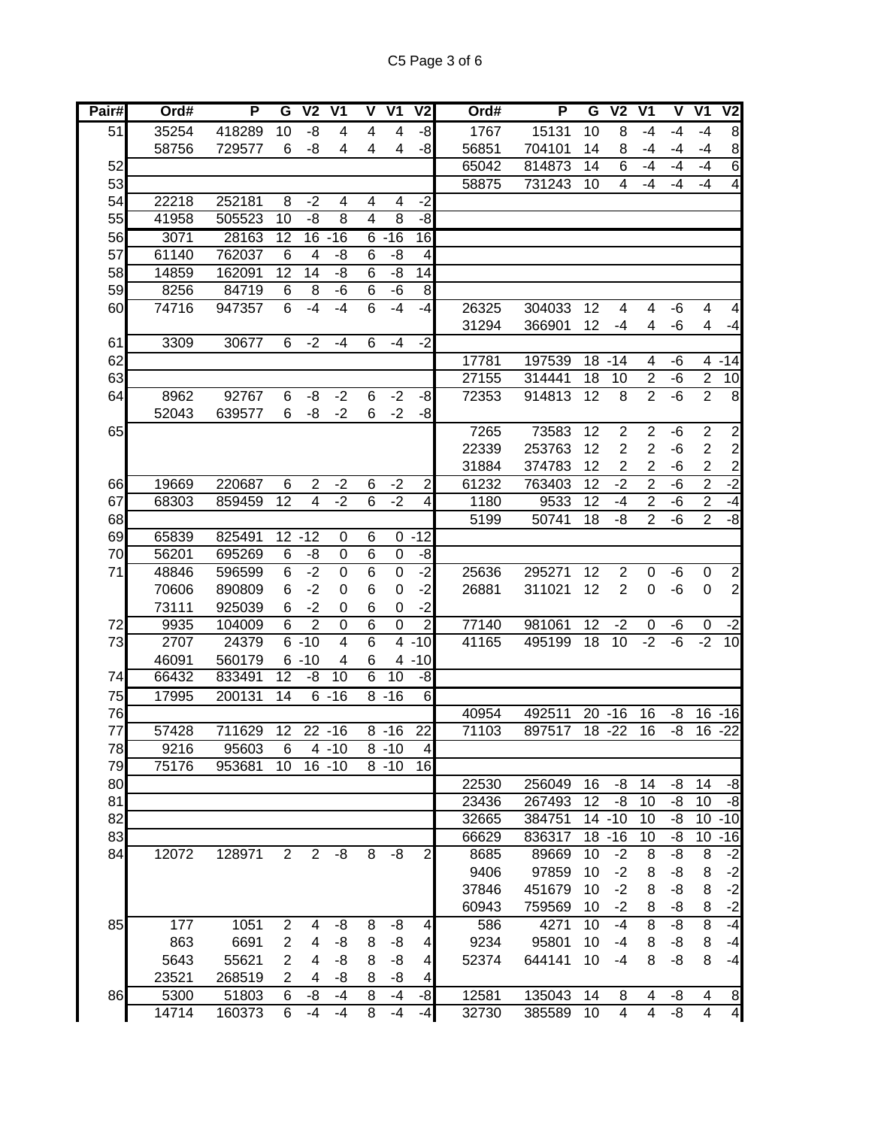| Pair# | Ord#  | P      | G               | V <sub>2</sub> | $\overline{\mathsf{V1}}$ | V               | $\overline{\mathsf{V1}}$ | V2                       | Ord#  | P      | G  | $\overline{\mathsf{V2}}$ | $\overline{\mathsf{V}}$ 1 | V    | $\overline{\mathsf{V}}$ 1 | V <sub>2</sub>          |
|-------|-------|--------|-----------------|----------------|--------------------------|-----------------|--------------------------|--------------------------|-------|--------|----|--------------------------|---------------------------|------|---------------------------|-------------------------|
| 51    | 35254 | 418289 | 10              | -8             | 4                        | 4               | 4                        | $-8$                     | 1767  | 15131  | 10 | 8                        | $-4$                      | $-4$ | $-4$                      | 8                       |
|       | 58756 | 729577 | 6               | -8             | 4                        | 4               | 4                        | $-8$                     | 56851 | 704101 | 14 | 8                        | $-4$                      | -4   | -4                        | 8                       |
| 52    |       |        |                 |                |                          |                 |                          |                          | 65042 | 814873 | 14 | 6                        | $-4$                      | -4   | -4                        | $\,$ 6                  |
| 53    |       |        |                 |                |                          |                 |                          |                          | 58875 | 731243 | 10 | 4                        | $-4$                      | -4   | $-4$                      | $\overline{\mathbf{4}}$ |
| 54    | 22218 | 252181 | 8               | $-2$           | 4                        | 4               | 4                        | $-2$                     |       |        |    |                          |                           |      |                           |                         |
| 55    | 41958 | 505523 | $\overline{10}$ | $-\frac{8}{3}$ | $\overline{8}$           | $\overline{4}$  | $\overline{8}$           | -8                       |       |        |    |                          |                           |      |                           |                         |
| 56    | 3071  | 28163  | 12              | 16             | $-16$                    | 6               | $-16$                    | 16                       |       |        |    |                          |                           |      |                           |                         |
| 57    | 61140 | 762037 | 6               | 4              | -8                       | $6\phantom{1}6$ | -8                       | $\overline{\mathcal{A}}$ |       |        |    |                          |                           |      |                           |                         |
| 58    | 14859 | 162091 | 12              | 14             | -8                       | $6\phantom{1}6$ | -8                       | 14                       |       |        |    |                          |                           |      |                           |                         |
| 59    | 8256  | 84719  | 6               | 8              | -6                       | 6               | -6                       | 8                        |       |        |    |                          |                           |      |                           |                         |
| 60    | 74716 | 947357 | 6               | $-4$           | $-4$                     | 6               | $-4$                     | $-4$                     | 26325 | 304033 | 12 | 4                        | 4                         | -6   | 4                         | 4                       |
|       |       |        |                 |                |                          |                 |                          |                          | 31294 | 366901 | 12 | -4                       | 4                         | -6   | 4                         | $-4$                    |
| 61    | 3309  | 30677  | 6               | $-2$           | $-4$                     | 6               | $-4$                     | $-2$                     |       |        |    |                          |                           |      |                           |                         |
| 62    |       |        |                 |                |                          |                 |                          |                          | 17781 | 197539 |    | $18 - 14$                | 4                         | -6   |                           | $4 - 14$                |
| 63    |       |        |                 |                |                          |                 |                          |                          | 27155 | 314441 | 18 | 10                       | $\sqrt{2}$                | -6   | $\overline{2}$            | 10                      |
| 64    | 8962  | 92767  | 6               | -8             | $-2$                     | $\,6$           | $-2$                     | $-8$                     | 72353 | 914813 | 12 | 8                        | $\overline{2}$            | $-6$ | $\overline{2}$            | 8                       |
|       | 52043 | 639577 | 6               | -8             | $-2$                     | 6               | $-2$                     | $-8$                     |       |        |    |                          |                           |      |                           |                         |
| 65    |       |        |                 |                |                          |                 |                          |                          | 7265  | 73583  | 12 | $\overline{2}$           | $\overline{2}$            | -6   | $\overline{2}$            | $\overline{c}$          |
|       |       |        |                 |                |                          |                 |                          |                          | 22339 | 253763 | 12 | $\overline{2}$           | $\overline{2}$            | -6   | $\overline{2}$            | 2                       |
|       |       |        |                 |                |                          |                 |                          |                          | 31884 | 374783 | 12 | $\overline{2}$           | $\overline{2}$            | $-6$ | $\overline{2}$            | $\overline{2}$          |
| 66    | 19669 | 220687 | 6               | $\overline{2}$ | $-2$                     | $\,6$           | $-2$                     | $\overline{\mathbf{c}}$  | 61232 | 763403 | 12 | $-2$                     | $\overline{2}$            | $-6$ | $\overline{2}$            | $-2$                    |
| 67    | 68303 | 859459 | 12              | $\overline{4}$ | $-2$                     | 6               | $-2$                     | 4                        | 1180  | 9533   | 12 | -4                       | $\overline{2}$            | -6   | $\overline{2}$            | $-4$                    |
| 68    |       |        |                 |                |                          |                 |                          |                          | 5199  | 50741  | 18 | -8                       | $\overline{2}$            | $-6$ | $\overline{2}$            | ġ.                      |
| 69    | 65839 | 825491 |                 | $12 - 12$      | $\mathbf 0$              | 6               | 0                        | $-12$                    |       |        |    |                          |                           |      |                           |                         |
| 70    | 56201 | 695269 | 6               | -8             | $\boldsymbol{0}$         | 6               | 0                        | $-8$                     |       |        |    |                          |                           |      |                           |                         |
| 71    | 48846 | 596599 | 6               | $-2$           | $\overline{0}$           | $\overline{6}$  | $\pmb{0}$                | ر.<br>د                  | 25636 | 295271 | 12 | $\overline{2}$           | $\boldsymbol{0}$          | -6   | $\pmb{0}$                 | $\overline{c}$          |
|       | 70606 | 890809 | 6               | $-2$           | 0                        | 6               | $\mathbf 0$              | $-2$                     | 26881 | 311021 | 12 | $\overline{2}$           | $\mathbf 0$               | -6   | $\Omega$                  | $\overline{c}$          |
|       | 73111 | 925039 | 6               | $-2$           | 0                        | 6               | 0                        | $-2$                     |       |        |    |                          |                           |      |                           |                         |
| 72    | 9935  | 104009 | 6               | $\overline{2}$ | $\mathbf 0$              | $\overline{6}$  | $\mathbf 0$              | $\overline{2}$           | 77140 | 981061 | 12 | $-2$                     | $\boldsymbol{0}$          | -6   | 0                         | $-2$                    |
| 73    | 2707  | 24379  |                 | $6 - 10$       | 4                        | 6               | $\overline{4}$           | $-10$                    | 41165 | 495199 | 18 | 10                       | $-2$                      | -6   | $-2$                      | 10                      |
|       | 46091 | 560179 |                 | $6 - 10$       | 4                        | 6               |                          | $4 - 10$                 |       |        |    |                          |                           |      |                           |                         |
| 74    | 66432 | 833491 | $\overline{12}$ | -8             | $\overline{10}$          | $\overline{6}$  | 10                       | ġ.                       |       |        |    |                          |                           |      |                           |                         |
| 75    | 17995 | 200131 | $\overline{14}$ |                | $6 - 16$                 |                 | $8 - 16$                 | 6                        |       |        |    |                          |                           |      |                           |                         |
| 76    |       |        |                 |                |                          |                 |                          |                          | 40954 | 492511 |    | $20 - 16$                | 16                        | -8   | 16                        | $-16$                   |
| 77    | 57428 | 711629 | 12              |                | $22 - 16$                |                 | $8 - 16$                 | 22                       | 71103 | 897517 |    | $18 - 22$                | $\overline{16}$           | -8   | 16                        | $-22$                   |
| 78    | 9216  | 95603  | 6               |                | $4 - 10$                 |                 | $8 - 10$                 | 4                        |       |        |    |                          |                           |      |                           |                         |
| 79    | 75176 | 953681 | 10              |                | $16 - 10$                |                 | $8 - 10$                 | 16                       |       |        |    |                          |                           |      |                           |                         |
| 80    |       |        |                 |                |                          |                 |                          |                          | 22530 | 256049 | 16 | -8                       | 14                        | -8   | 14                        | -8                      |
| 81    |       |        |                 |                |                          |                 |                          |                          | 23436 | 267493 | 12 | -8                       | 10                        | -8   | 10                        | -8                      |
| 82    |       |        |                 |                |                          |                 |                          |                          | 32665 | 384751 |    | $14 - 10$                | 10                        | -8   | 10                        | $-10$                   |
| 83    |       |        |                 |                |                          |                 |                          |                          | 66629 | 836317 |    | $18 - 16$                | 10                        | -8   | 10                        | $-16$                   |
| 84    | 12072 | 128971 | $\overline{2}$  | $\overline{2}$ | -8                       | 8               | -8                       | $\overline{c}$           | 8685  | 89669  | 10 | $-2$                     | 8                         | -8   | 8                         | $-2$                    |
|       |       |        |                 |                |                          |                 |                          |                          | 9406  | 97859  | 10 | $-2$                     | 8                         | -8   | 8                         | $-2$                    |
|       |       |        |                 |                |                          |                 |                          |                          | 37846 | 451679 | 10 | $-2$                     | 8                         | -8   | 8                         | $-2$                    |
|       |       |        |                 |                |                          |                 |                          |                          | 60943 | 759569 | 10 | $-2$                     | 8                         | -8   | 8                         | $-2$                    |
| 85    | 177   | 1051   | $\overline{2}$  | 4              | -8                       | 8               | -8                       | 4                        | 586   | 4271   | 10 | $-4$                     | 8                         | -8   | 8                         | $-4$                    |
|       | 863   | 6691   | 2               | 4              | -8                       | 8               | -8                       | 4                        | 9234  | 95801  | 10 | $-4$                     | 8                         | -8   | 8                         | $-4$                    |
|       | 5643  | 55621  | 2               | 4              | -8                       | 8               | -8                       | 4                        | 52374 | 644141 | 10 | $-4$                     | 8                         | -8   | 8                         | $-4$                    |
|       | 23521 | 268519 | 2               | 4              | -8                       | 8               | -8                       | 4                        |       |        |    |                          |                           |      |                           |                         |
| 86    | 5300  | 51803  | 6               | -8             | -4                       | 8               | -4                       | $-8$                     | 12581 | 135043 | 14 | 8                        | 4                         | -8   | 4                         | 8                       |
|       | 14714 | 160373 | 6               | $-4$           | $-4$                     | 8               | $-4$                     | $-4$                     | 32730 | 385589 | 10 | 4                        | $\overline{\mathbf{4}}$   | -8   | $\overline{\mathbf{4}}$   | $\overline{4}$          |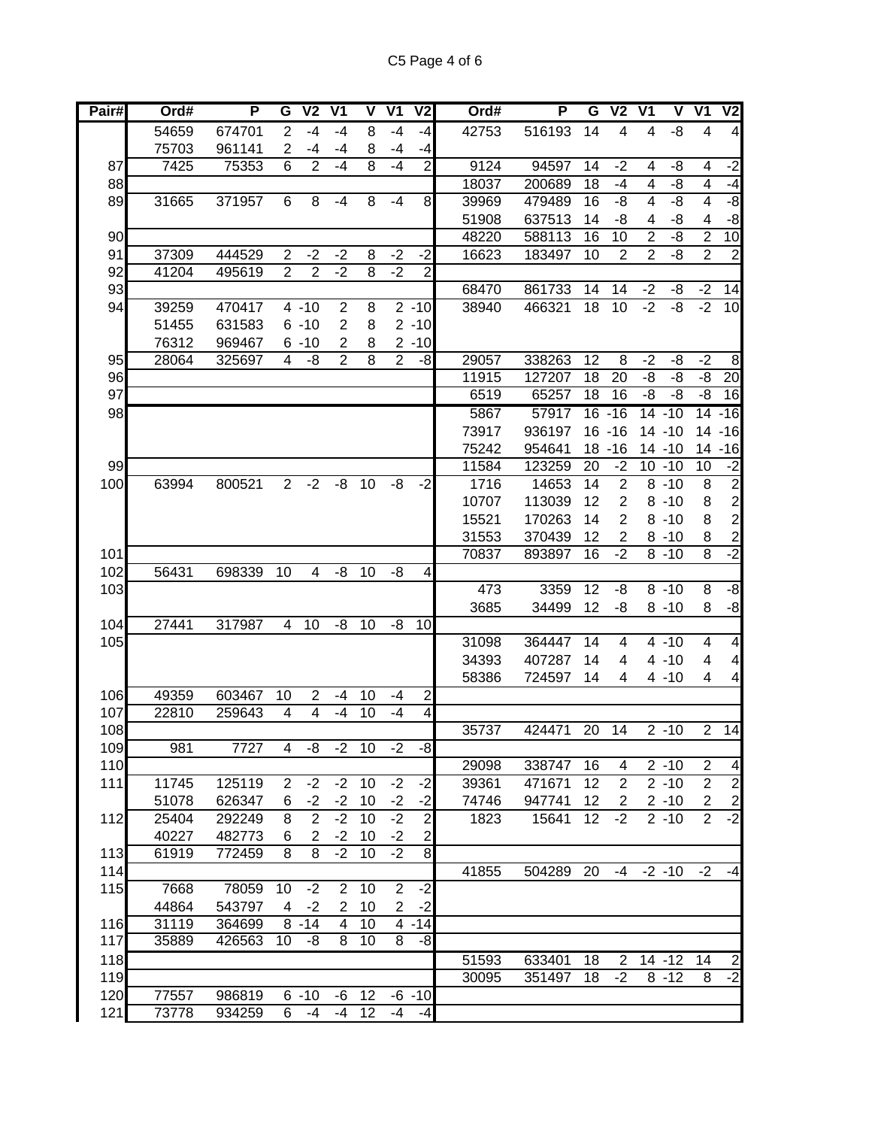| Pair# | Ord#  | P      | G              | $\overline{V}$          | $\overline{\mathsf{V}}$ 1 | V              | V <sub>1</sub> | V <sub>2</sub>          | Ord#  | P         | G  | $\overline{\mathsf{V2}}$ | $\overline{\mathsf{V}}$ 1 | V              | $\overline{\mathsf{V}}$ 1 | $\overline{\mathsf{V2}}$ |
|-------|-------|--------|----------------|-------------------------|---------------------------|----------------|----------------|-------------------------|-------|-----------|----|--------------------------|---------------------------|----------------|---------------------------|--------------------------|
|       | 54659 | 674701 | $\overline{2}$ | $-4$                    | $-4$                      | 8              | $-4$           | $-4$                    | 42753 | 516193    | 14 | 4                        | 4                         | -8             | 4                         | $\overline{\mathcal{A}}$ |
|       | 75703 | 961141 | $\overline{2}$ | $-4$                    | -4                        | 8              | -4             | -4                      |       |           |    |                          |                           |                |                           |                          |
| 87    | 7425  | 75353  | 6              | $\overline{2}$          | $-4$                      | 8              | $-4$           | $\overline{2}$          | 9124  | 94597     | 14 | $-2$                     | 4                         | -8             | 4                         | $-2$                     |
| 88    |       |        |                |                         |                           |                |                |                         | 18037 | 200689    | 18 | -4                       | 4                         | -8             | 4                         | -4                       |
| 89    | 31665 | 371957 | 6              | 8                       | $-4$                      | 8              | $-4$           | 8 <sup>1</sup>          | 39969 | 479489    | 16 | -8                       | $\overline{\mathbf{4}}$   | -8             | $\overline{\mathbf{4}}$   | -8                       |
|       |       |        |                |                         |                           |                |                |                         | 51908 | 637513    | 14 | -8                       | 4                         | -8             | 4                         | -8                       |
| 90    |       |        |                |                         |                           |                |                |                         | 48220 | 588113    | 16 | 10                       | $\overline{2}$            | -8             | $\overline{2}$            | 10                       |
| 91    | 37309 | 444529 | 2              | $-2$                    | $-2$                      | 8              | $-2$           | $-2$                    | 16623 | 183497    | 10 | $\overline{2}$           | $\overline{2}$            | -8             | $\overline{2}$            | $\overline{\mathbf{c}}$  |
| 92    | 41204 | 495619 | $\overline{2}$ | $\overline{2}$          | $-2$                      | $\overline{8}$ | $-2$           | $\overline{2}$          |       |           |    |                          |                           |                |                           |                          |
| 93    |       |        |                |                         |                           |                |                |                         | 68470 | 861733    | 14 | 14                       | $-2$                      | -8             | $-2$                      | 14                       |
| 94    | 39259 | 470417 |                | $4 - 10$                | $\overline{\mathbf{c}}$   | 8              |                | $2 - 10$                | 38940 | 466321    | 18 | 10                       | $-2$                      | $-\frac{8}{3}$ | $-2$                      | 10                       |
|       | 51455 | 631583 |                | $6 - 10$                | $\mathbf{2}$              | 8              |                | $2 - 10$                |       |           |    |                          |                           |                |                           |                          |
|       | 76312 | 969467 |                | $6 - 10$                | 2                         | 8              |                | $2 - 10$                |       |           |    |                          |                           |                |                           |                          |
| 95    | 28064 | 325697 | 4              | -8                      | $\overline{2}$            | 8              | $\overline{c}$ | -8                      | 29057 | 338263    | 12 | 8                        | $-2$                      | -8             | $-2$                      | 8                        |
| 96    |       |        |                |                         |                           |                |                |                         | 11915 | 127207    | 18 | 20                       | -8                        | -8             | -8                        | 20                       |
| 97    |       |        |                |                         |                           |                |                |                         | 6519  | 65257     | 18 | 16                       | -8                        | -8             | -8                        | 16                       |
| 98    |       |        |                |                         |                           |                |                |                         | 5867  | 57917     |    | $16 - 16$                |                           | $14 - 10$      |                           | $14 - 16$                |
|       |       |        |                |                         |                           |                |                |                         | 73917 | 936197    |    | $16 - 16$                |                           | $14 - 10$      |                           | $14 - 16$                |
|       |       |        |                |                         |                           |                |                |                         | 75242 | 954641    |    | $18 - 16$                |                           | $14 - 10$      |                           | 14 - 16                  |
| 99    |       |        |                |                         |                           |                |                |                         | 11584 | 123259    | 20 | $-2$                     |                           | $10 - 10$      | 10                        | $-2$                     |
| 100   | 63994 | 800521 | 2              | $-2$                    | -8                        | 10             | -8             | $-2$                    | 1716  | 14653     | 14 | $\overline{2}$           |                           | $8 - 10$       | 8                         | $\overline{\mathbf{c}}$  |
|       |       |        |                |                         |                           |                |                |                         | 10707 | 113039    | 12 | $\overline{2}$           |                           | $8 - 10$       | 8                         | $\overline{\mathbf{c}}$  |
|       |       |        |                |                         |                           |                |                |                         | 15521 | 170263    | 14 | $\overline{2}$           |                           | $8 - 10$       | 8                         | $\overline{c}$           |
|       |       |        |                |                         |                           |                |                |                         | 31553 | 370439    | 12 | $\overline{2}$           |                           | $8 - 10$       | 8                         | $\overline{\mathbf{c}}$  |
| 101   |       |        |                |                         |                           |                |                |                         | 70837 | 893897    | 16 | $-2$                     |                           | $8 - 10$       | $\overline{8}$            | $-2$                     |
| 102   | 56431 | 698339 | 10             | 4                       | -8                        | 10             | -8             | $\overline{4}$          |       |           |    |                          |                           |                |                           |                          |
| 103   |       |        |                |                         |                           |                |                |                         | 473   | 3359      | 12 | -8                       |                           | $8 - 10$       | 8                         | -8                       |
|       |       |        |                |                         |                           |                |                |                         | 3685  | 34499     | 12 | -8                       |                           | $8 - 10$       | 8                         | $-8$                     |
| 104   | 27441 | 317987 | 4              | 10                      | -8                        | 10             | -8             | 10                      |       |           |    |                          |                           |                |                           |                          |
| 105   |       |        |                |                         |                           |                |                |                         | 31098 | 364447    | 14 | 4                        |                           | $4 - 10$       | 4                         | 4                        |
|       |       |        |                |                         |                           |                |                |                         | 34393 | 407287    | 14 | 4                        |                           | $4 - 10$       | 4                         | 4                        |
|       |       |        |                |                         |                           |                |                |                         | 58386 | 724597    | 14 | 4                        |                           | 4 -10          | 4                         | 4                        |
| 106   | 49359 | 603467 | 10             | $\overline{2}$          | $-4$                      | 10             | -4             | $\overline{\mathbf{c}}$ |       |           |    |                          |                           |                |                           |                          |
| 107   | 22810 | 259643 | 4              | 4                       | $-4$                      | 10             | $-4$           | $\overline{4}$          |       |           |    |                          |                           |                |                           |                          |
| 108   |       |        |                |                         |                           |                |                |                         | 35737 | 424471    | 20 | 14                       |                           | $2 - 10$       | $\overline{2}$            | 14                       |
| 109   | 981   | 7727   | 4              | -8                      | $-2$                      | 10             | $-2$           | $-8$                    |       |           |    |                          |                           |                |                           |                          |
| 110   |       |        |                |                         |                           |                |                |                         | 29098 | 338747    | 16 | 4                        |                           | $2 - 10$       | 2                         | $\overline{\mathcal{A}}$ |
| 111   | 11745 | 125119 | 2              | $-2$                    | $-2$                      | 10             | $-2$           | $-2$                    | 39361 | 471671    | 12 | $\overline{2}$           |                           | $2 - 10$       | $\overline{2}$            | $\overline{2}$           |
|       | 51078 | 626347 | 6              | $-2$                    | $-2$                      | 10             | $-2$           | $-2$                    | 74746 | 947741    | 12 | $\overline{2}$           |                           | $2 - 10$       | $\overline{2}$            | $\overline{2}$           |
| 112   | 25404 | 292249 | 8              | $\overline{2}$          | $-2$                      | 10             | $-2$           | $\overline{2}$          | 1823  | 15641     | 12 | $-2$                     |                           | $2 - 10$       | 2                         | $-2$                     |
|       | 40227 | 482773 | 6              | $\overline{\mathbf{c}}$ | $-2$                      | 10             | $-2$           | $\mathbf{Z}$            |       |           |    |                          |                           |                |                           |                          |
| 113   | 61919 | 772459 | 8              | $\overline{8}$          | $-2$                      | 10             | $-2$           | $\overline{8}$          |       |           |    |                          |                           |                |                           |                          |
| 114   |       |        |                |                         |                           |                |                |                         | 41855 | 504289 20 |    | -4                       |                           | $-2 - 10$      | $-2$                      | $-4$                     |
| 115   | 7668  | 78059  | 10             | $-2$                    | 2                         | 10             | $\mathbf{2}$   | $-2$                    |       |           |    |                          |                           |                |                           |                          |
|       | 44864 | 543797 | 4              | $-2$                    | $\overline{2}$            | 10             | $\overline{2}$ | $-2$                    |       |           |    |                          |                           |                |                           |                          |
| 116   | 31119 | 364699 |                | $8 - 14$                | 4                         | 10             |                | $4 - 14$                |       |           |    |                          |                           |                |                           |                          |
| 117   | 35889 | 426563 | 10             | -8                      | 8                         | 10             | $\overline{8}$ | $-8$                    |       |           |    |                          |                           |                |                           |                          |
| 118   |       |        |                |                         |                           |                |                |                         | 51593 | 633401    | 18 | $\mathbf{2}$             |                           | $14 - 12$      | 14                        | $\overline{\mathbf{c}}$  |
| 119   |       |        |                |                         |                           |                |                |                         | 30095 | 351497    | 18 | $-2$                     |                           | $8 - 12$       | 8                         | $-2$                     |
| 120   | 77557 | 986819 |                | $6 - 10$                | -6                        | 12             |                | $-6 - 10$               |       |           |    |                          |                           |                |                           |                          |
| 121   | 73778 | 934259 | 6              | -4                      | $-4$                      | 12             | $-4$           | $-4$                    |       |           |    |                          |                           |                |                           |                          |